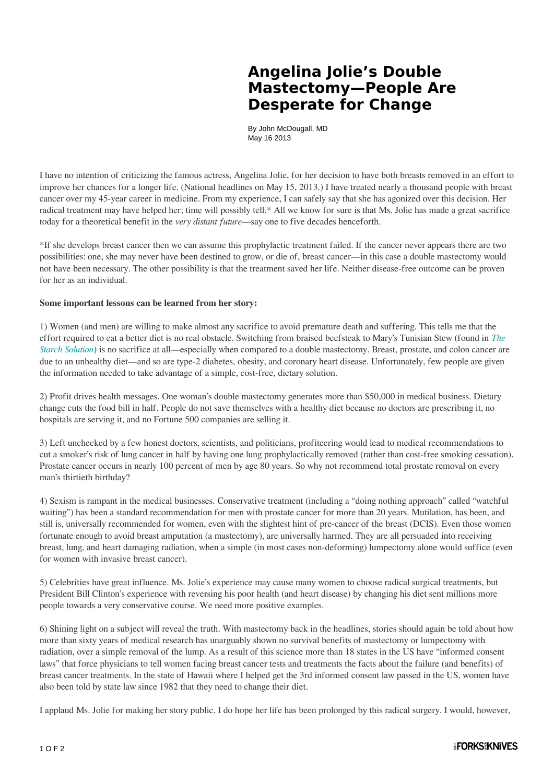## **Angelina Jolie's Double Mastectomy—People Are Desperate for Change**

By John McDougall, MD May 16 2013

I have no intention of criticizing the famous actress, Angelina Jolie, for her decision to have both breasts removed in an effort to improve her chances for a longer life. (National headlines on May 15, 2013.) I have treated nearly a thousand people with breast cancer over my 45-year career in medicine. From my experience, I can safely say that she has agonized over this decision. Her radical treatment may have helped her; time will possibly tell.\* All we know for sure is that Ms. Jolie has made a great sacrifice today for a theoretical benefit in the *very distant future*—say one to five decades henceforth.

\*If she develops breast cancer then we can assume this prophylactic treatment failed. If the cancer never appears there are two possibilities: one, she may never have been destined to grow, or die of, breast cancer—in this case a double mastectomy would not have been necessary. The other possibility is that the treatment saved her life. Neither disease-free outcome can be proven for her as an individual.

## **Some important lessons can be learned from her story:**

1) Women (and men) are willing to make almost any sacrifice to avoid premature death and suffering. This tells me that the effort required to eat a better diet is no real obstacle. Switching from braised beefsteak to Mary's Tunisian Stew (found in *[The](http://www.forksoverknives.com/product/the-starch-solution/) [Starch Solution](http://www.forksoverknives.com/product/the-starch-solution/)*) is no sacrifice at all—especially when compared to a double mastectomy. Breast, prostate, and colon cancer are due to an unhealthy diet—and so are type-2 diabetes, obesity, and coronary heart disease. Unfortunately, few people are given the information needed to take advantage of a simple, cost-free, dietary solution.

2) Profit drives health messages. One woman's double mastectomy generates more than \$50,000 in medical business. Dietary change cuts the food bill in half. People do not save themselves with a healthy diet because no doctors are prescribing it, no hospitals are serving it, and no Fortune 500 companies are selling it.

3) Left unchecked by a few honest doctors, scientists, and politicians, profiteering would lead to medical recommendations to cut a smoker's risk of lung cancer in half by having one lung prophylactically removed (rather than cost-free smoking cessation). Prostate cancer occurs in nearly 100 percent of men by age 80 years. So why not recommend total prostate removal on every man's thirtieth birthday?

4) Sexism is rampant in the medical businesses. Conservative treatment (including a "doing nothing approach" called "watchful waiting") has been a standard recommendation for men with prostate cancer for more than 20 years. Mutilation, has been, and still is, universally recommended for women, even with the slightest hint of pre-cancer of the breast (DCIS). Even those women fortunate enough to avoid breast amputation (a mastectomy), are universally harmed. They are all persuaded into receiving breast, lung, and heart damaging radiation, when a simple (in most cases non-deforming) lumpectomy alone would suffice (even for women with invasive breast cancer).

5) Celebrities have great influence. Ms. Jolie's experience may cause many women to choose radical surgical treatments, but President Bill Clinton's experience with reversing his poor health (and heart disease) by changing his diet sent millions more people towards a very conservative course. We need more positive examples.

6) Shining light on a subject will reveal the truth. With mastectomy back in the headlines, stories should again be told about how more than sixty years of medical research has unarguably shown no survival benefits of mastectomy or lumpectomy with radiation, over a simple removal of the lump. As a result of this science more than 18 states in the US have "informed consent laws" that force physicians to tell women facing breast cancer tests and treatments the facts about the failure (and benefits) of breast cancer treatments. In the state of Hawaii where I helped get the 3rd informed consent law passed in the US, women have also been told by state law since 1982 that they need to change their diet.

I applaud Ms. Jolie for making her story public. I do hope her life has been prolonged by this radical surgery. I would, however,